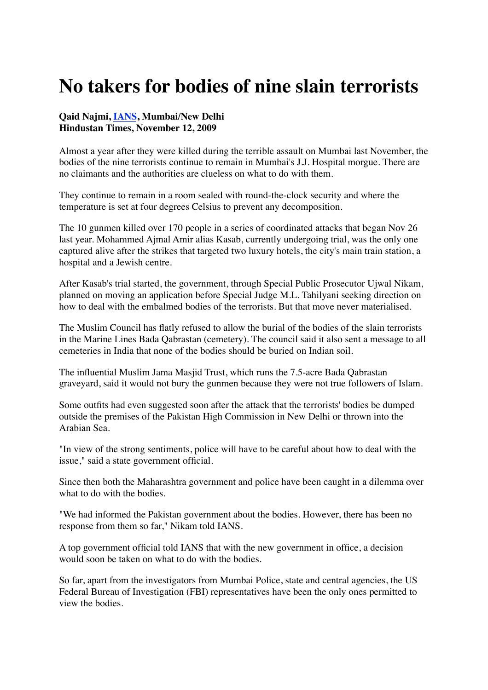## **No takers for bodies of nine slain terrorists**

## **Qaid Najmi, [IANS](http://www.hindustantimes.com/Search/Search.aspx?op=story&pt=all&auth=IANS), Mumbai/New Delhi Hindustan Times, November 12, 2009**

Almost a year after they were killed during the terrible assault on Mumbai last November, the bodies of the nine terrorists continue to remain in Mumbai's J.J. Hospital morgue. There are no claimants and the authorities are clueless on what to do with them.

They continue to remain in a room sealed with round-the-clock security and where the temperature is set at four degrees Celsius to prevent any decomposition.

The 10 gunmen killed over 170 people in a series of coordinated attacks that began Nov 26 last year. Mohammed Ajmal Amir alias Kasab, currently undergoing trial, was the only one captured alive after the strikes that targeted two luxury hotels, the city's main train station, a hospital and a Jewish centre.

After Kasab's trial started, the government, through Special Public Prosecutor Ujwal Nikam, planned on moving an application before Special Judge M.L. Tahilyani seeking direction on how to deal with the embalmed bodies of the terrorists. But that move never materialised.

The Muslim Council has flatly refused to allow the burial of the bodies of the slain terrorists in the Marine Lines Bada Qabrastan (cemetery). The council said it also sent a message to all cemeteries in India that none of the bodies should be buried on Indian soil.

The influential Muslim Jama Masjid Trust, which runs the 7.5-acre Bada Qabrastan graveyard, said it would not bury the gunmen because they were not true followers of Islam.

Some outfits had even suggested soon after the attack that the terrorists' bodies be dumped outside the premises of the Pakistan High Commission in New Delhi or thrown into the Arabian Sea.

"In view of the strong sentiments, police will have to be careful about how to deal with the issue," said a state government official.

Since then both the Maharashtra government and police have been caught in a dilemma over what to do with the bodies.

"We had informed the Pakistan government about the bodies. However, there has been no response from them so far," Nikam told IANS.

A top government official told IANS that with the new government in office, a decision would soon be taken on what to do with the bodies.

So far, apart from the investigators from Mumbai Police, state and central agencies, the US Federal Bureau of Investigation (FBI) representatives have been the only ones permitted to view the bodies.